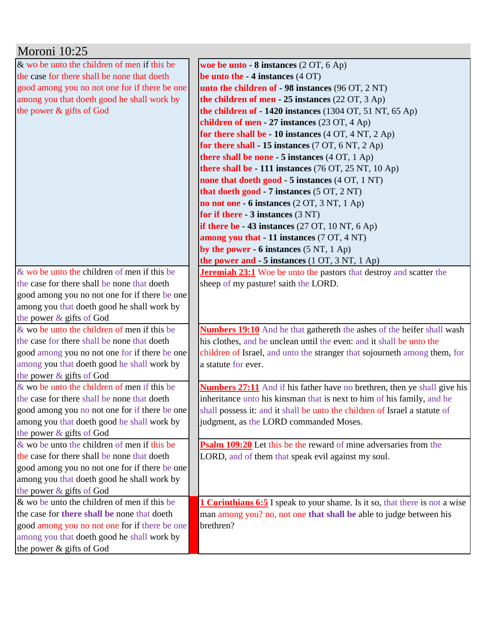| Moroni 10:25                                                            |                                                                                    |
|-------------------------------------------------------------------------|------------------------------------------------------------------------------------|
| & wo be unto the children of men if this be                             | woe be unto $-8$ instances $(2 OT, 6 Ap)$                                          |
| the case for there shall be none that doeth                             | be unto the $-4$ instances $(4$ OT)                                                |
| good among you no not one for if there be one                           | unto the children of - 98 instances (96 OT, 2 NT)                                  |
| among you that doeth good he shall work by                              | the children of men - 25 instances $(22 \text{ OT}, 3 \text{ Ap})$                 |
| the power & gifts of God                                                | the children of $-1420$ instances (1304 OT, 51 NT, 65 Ap)                          |
|                                                                         | children of men - 27 instances (23 OT, 4 Ap)                                       |
|                                                                         | for there shall be - 10 instances $(4 OT, 4 NT, 2 Ap)$                             |
|                                                                         | for there shall - 15 instances $(7 OT, 6 NT, 2 Ap)$                                |
|                                                                         | there shall be none $-5$ instances $(4 OT, 1 Ap)$                                  |
|                                                                         | there shall be - 111 instances $(76 \text{ OT}, 25 \text{ NT}, 10 \text{ Ap})$     |
|                                                                         | none that doeth good - 5 instances (4 OT, 1 NT)                                    |
|                                                                         | that doeth good - 7 instances (5 OT, 2 NT)                                         |
|                                                                         | no not one - 6 instances $(2 OT, 3 NT, 1 Ap)$                                      |
|                                                                         | for if there $-3$ instances $(3 \text{ NT})$                                       |
|                                                                         | if there be $-43$ instances (27 OT, 10 NT, 6 Ap)                                   |
|                                                                         | among you that - 11 instances (7 OT, 4 NT)                                         |
|                                                                         | by the power - $6$ instances $(5 \text{ NT}, 1 \text{ Ap})$                        |
|                                                                         | the power and $-5$ instances $(1 OT, 3 NT, 1 Ap)$                                  |
| & wo be unto the children of men if this be                             | <b>Jeremiah 23:1</b> Woe be unto the pastors that destroy and scatter the          |
| the case for there shall be none that doeth                             | sheep of my pasture! saith the LORD.                                               |
| good among you no not one for if there be one                           |                                                                                    |
| among you that doeth good he shall work by                              |                                                                                    |
| the power & gifts of God                                                |                                                                                    |
| $\&$ wo be unto the children of men if this be                          | <b>Numbers 19:10</b> And he that gathereth the ashes of the heifer shall wash      |
| the case for there shall be none that doeth                             | his clothes, and be unclean until the even: and it shall be unto the               |
| good among you no not one for if there be one                           | children of Israel, and unto the stranger that sojourneth among them, for          |
| among you that doeth good he shall work by                              | a statute for ever.                                                                |
| the power & gifts of God                                                |                                                                                    |
| & wo be unto the children of men if this be                             | <b>Numbers 27:11</b> And if his father have no brethren, then ye shall give his    |
| the case for there shall be none that doeth                             | inheritance unto his kinsman that is next to him of his family, and he             |
| good among you no not one for if there be one                           | shall possess it: and it shall be unto the children of Israel a statute of         |
| among you that doeth good he shall work by                              | judgment, as the LORD commanded Moses.                                             |
| the power & gifts of God<br>& wo be unto the children of men if this be | <b>Psalm 109:20</b> Let this be the reward of mine adversaries from the            |
| the case for there shall be none that doeth                             | LORD, and of them that speak evil against my soul.                                 |
| good among you no not one for if there be one                           |                                                                                    |
| among you that doeth good he shall work by                              |                                                                                    |
| the power & gifts of God                                                |                                                                                    |
| $\&$ wo be unto the children of men if this be                          | <b>1 Corinthians 6:5</b> I speak to your shame. Is it so, that there is not a wise |
| the case for there shall be none that doeth                             | man among you? no, not one that shall be able to judge between his                 |
| good among you no not one for if there be one                           | brethren?                                                                          |
| among you that doeth good he shall work by                              |                                                                                    |
| the power & gifts of God                                                |                                                                                    |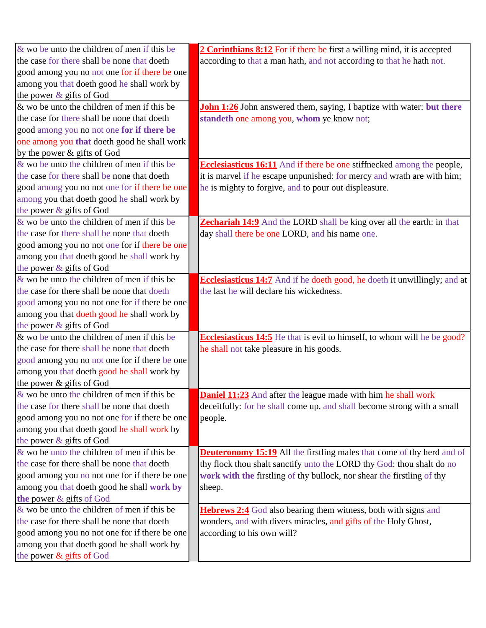| $\&$ wo be unto the children of men if this be | 2 Corinthians 8:12 For if there be first a willing mind, it is accepted          |
|------------------------------------------------|----------------------------------------------------------------------------------|
| the case for there shall be none that doeth    | according to that a man hath, and not according to that he hath not.             |
| good among you no not one for if there be one  |                                                                                  |
| among you that doeth good he shall work by     |                                                                                  |
| the power & gifts of God                       |                                                                                  |
| & wo be unto the children of men if this be    | John 1:26 John answered them, saying, I baptize with water: but there            |
| the case for there shall be none that doeth    | standeth one among you, whom ye know not;                                        |
| good among you no not one for if there be      |                                                                                  |
| one among you that doeth good he shall work    |                                                                                  |
| by the power & gifts of God                    |                                                                                  |
| $\&$ wo be unto the children of men if this be | <b>Ecclesiasticus 16:11</b> And if there be one stiffnecked among the people,    |
| the case for there shall be none that doeth    | it is marvel if he escape unpunished: for mercy and wrath are with him;          |
| good among you no not one for if there be one  | he is mighty to forgive, and to pour out displeasure.                            |
| among you that doeth good he shall work by     |                                                                                  |
| the power & gifts of God                       |                                                                                  |
| $\&$ wo be unto the children of men if this be | <b>Zechariah 14:9</b> And the LORD shall be king over all the earth: in that     |
| the case for there shall be none that doeth    | day shall there be one LORD, and his name one.                                   |
| good among you no not one for if there be one  |                                                                                  |
| among you that doeth good he shall work by     |                                                                                  |
| the power & gifts of God                       |                                                                                  |
| $\&$ wo be unto the children of men if this be | <b>Ecclesiasticus 14:7</b> And if he doeth good, he doeth it unwillingly; and at |
| the case for there shall be none that doeth    | the last he will declare his wickedness.                                         |
| good among you no not one for if there be one  |                                                                                  |
| among you that doeth good he shall work by     |                                                                                  |
| the power & gifts of God                       |                                                                                  |
| & wo be unto the children of men if this be    | <b>Ecclesiasticus 14:5</b> He that is evil to himself, to whom will he be good?  |
| the case for there shall be none that doeth    | he shall not take pleasure in his goods.                                         |
| good among you no not one for if there be one  |                                                                                  |
| among you that doeth good he shall work by     |                                                                                  |
| the power & gifts of God                       |                                                                                  |
| $\&$ wo be unto the children of men if this be | <b>Daniel 11:23</b> And after the league made with him he shall work             |
| the case for there shall be none that doeth    | deceitfully: for he shall come up, and shall become strong with a small          |
| good among you no not one for if there be one  | people.                                                                          |
| among you that doeth good he shall work by     |                                                                                  |
| the power $\&$ gifts of God                    |                                                                                  |
| & wo be unto the children of men if this be    | <b>Deuteronomy 15:19</b> All the firstling males that come of thy herd and of    |
| the case for there shall be none that doeth    | thy flock thou shalt sanctify unto the LORD thy God: thou shalt do no            |
| good among you no not one for if there be one  | work with the firstling of thy bullock, nor shear the firstling of thy           |
| among you that doeth good he shall work by     | sheep.                                                                           |
| the power & gifts of God                       |                                                                                  |
| $\&$ wo be unto the children of men if this be | <b>Hebrews 2:4</b> God also bearing them witness, both with signs and            |
| the case for there shall be none that doeth    | wonders, and with divers miracles, and gifts of the Holy Ghost,                  |
| good among you no not one for if there be one  | according to his own will?                                                       |
| among you that doeth good he shall work by     |                                                                                  |
| the power & gifts of God                       |                                                                                  |